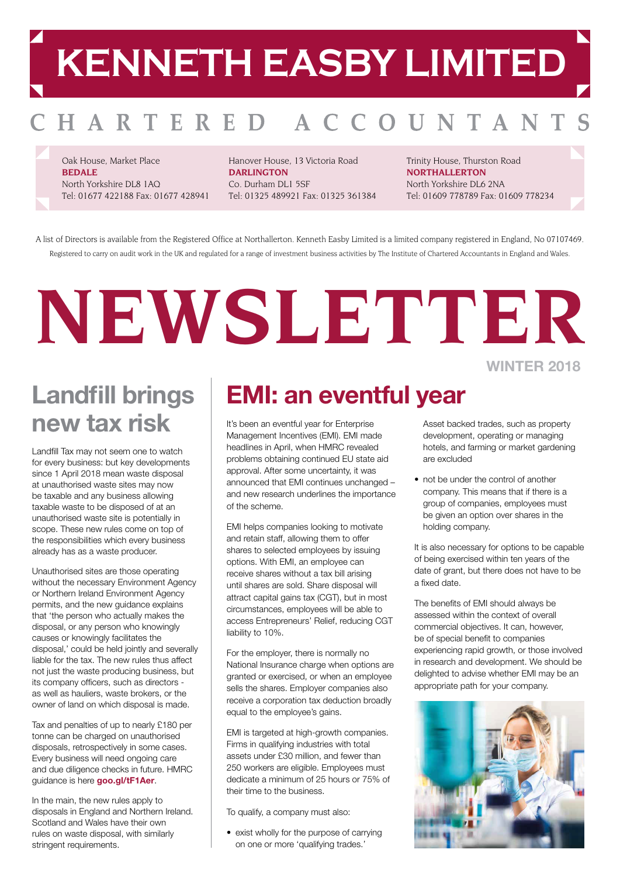# **KENNETH EASBY LIMITED**

#### OUNTAN HARTERED A C

Oak House, Market Place **BEDALE** North Yorkshire DL8 1AQ Tel: 01677 422188 Fax: 01677 428941 Hanover House, 13 Victoria Road **DARLINGTON** Co. Durham DL1 5SF Tel: 01325 489921 Fax: 01325 361384 Trinity House, Thurston Road **NORTHALLERTON** North Yorkshire DL6 2NA Tel: 01609 778789 Fax: 01609 778234

A list of Directors is available from the Registered Office at Northallerton. Kenneth Easby Limited is a limited company registered in England, No 07107469. Registered to carry on audit work in the UK and regulated for a range of investment business activities by The Institute of Chartered Accountants in England and Wales.

## **NEWSLETTER WINTER 2018**

### **Landfill brings new tax risk**

Landfill Tax may not seem one to watch for every business: but key developments since 1 April 2018 mean waste disposal at unauthorised waste sites may now be taxable and any business allowing taxable waste to be disposed of at an unauthorised waste site is potentially in scope. These new rules come on top of the responsibilities which every business already has as a waste producer.

Unauthorised sites are those operating without the necessary Environment Agency or Northern Ireland Environment Agency permits, and the new guidance explains that 'the person who actually makes the disposal, or any person who knowingly causes or knowingly facilitates the disposal,' could be held jointly and severally liable for the tax. The new rules thus affect not just the waste producing business, but its company officers, such as directors as well as hauliers, waste brokers, or the owner of land on which disposal is made.

Tax and penalties of up to nearly £180 per tonne can be charged on unauthorised disposals, retrospectively in some cases. Every business will need ongoing care and due diligence checks in future. HMRC guidance is here **[goo.gl/tF1Aer](https://www.gov.uk/government/publications/excise-notice-lft1-a-general-guide-to-landfill-tax)**.

In the main, the new rules apply to disposals in England and Northern Ireland. Scotland and Wales have their own rules on waste disposal, with similarly stringent requirements.

### **EMI: an eventful year**

It's been an eventful year for Enterprise Management Incentives (EMI). EMI made headlines in April, when HMRC revealed problems obtaining continued EU state aid approval. After some uncertainty, it was announced that EMI continues unchanged – and new research underlines the importance of the scheme.

EMI helps companies looking to motivate and retain staff, allowing them to offer shares to selected employees by issuing options. With EMI, an employee can receive shares without a tax bill arising until shares are sold. Share disposal will attract capital gains tax (CGT), but in most circumstances, employees will be able to access Entrepreneurs' Relief, reducing CGT liability to 10%.

For the employer, there is normally no National Insurance charge when options are granted or exercised, or when an employee sells the shares. Employer companies also receive a corporation tax deduction broadly equal to the employee's gains.

EMI is targeted at high-growth companies. Firms in qualifying industries with total assets under £30 million, and fewer than 250 workers are eligible. Employees must dedicate a minimum of 25 hours or 75% of their time to the business.

To qualify, a company must also:

• exist wholly for the purpose of carrying on one or more 'qualifying trades.'

Asset backed trades, such as property development, operating or managing hotels, and farming or market gardening are excluded

• not be under the control of another company. This means that if there is a group of companies, employees must be given an option over shares in the holding company.

It is also necessary for options to be capable of being exercised within ten years of the date of grant, but there does not have to be a fixed date.

The benefits of EMI should always be assessed within the context of overall commercial objectives. It can, however, be of special benefit to companies experiencing rapid growth, or those involved in research and development. We should be delighted to advise whether EMI may be an appropriate path for your company.

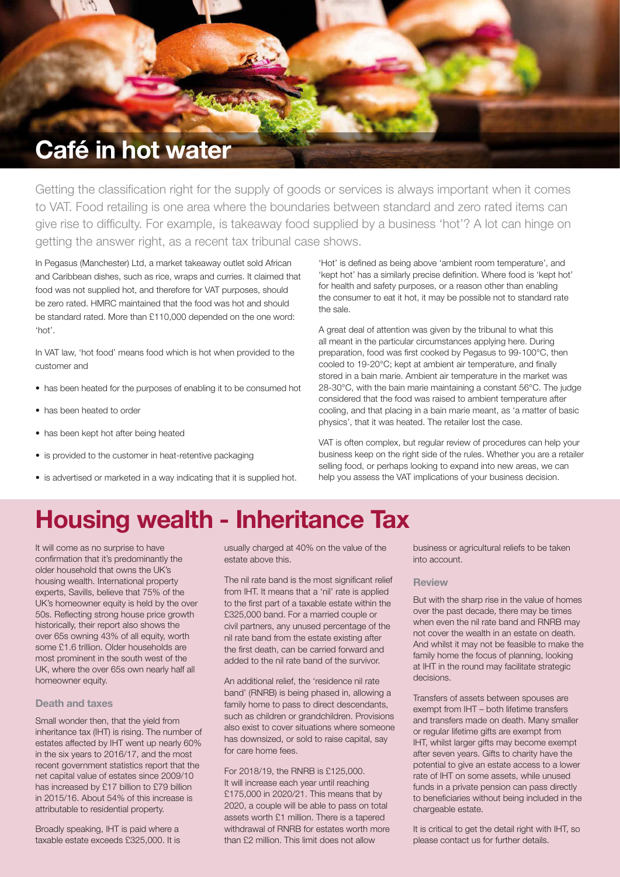

Getting the classification right for the supply of goods or services is always important when it comes to VAT. Food retailing is one area where the boundaries between standard and zero rated items can give rise to difficulty. For example, is takeaway food supplied by a business 'hot'? A lot can hinge on getting the answer right, as a recent tax tribunal case shows.

In Pegasus (Manchester) Ltd, a market takeaway outlet sold African and Caribbean dishes, such as rice, wraps and curries. It claimed that food was not supplied hot, and therefore for VAT purposes, should be zero rated. HMRC maintained that the food was hot and should be standard rated. More than £110,000 depended on the one word: 'hot'.

In VAT law, 'hot food' means food which is hot when provided to the customer and

- has been heated for the purposes of enabling it to be consumed hot
- has been heated to order
- has been kept hot after being heated
- is provided to the customer in heat-retentive packaging
- is advertised or marketed in a way indicating that it is supplied hot.

'Hot' is defined as being above 'ambient room temperature', and 'kept hot' has a similarly precise definition. Where food is 'kept hot' for health and safety purposes, or a reason other than enabling the consumer to eat it hot, it may be possible not to standard rate the sale.

A great deal of attention was given by the tribunal to what this all meant in the particular circumstances applying here. During preparation, food was first cooked by Pegasus to 99-100°C, then cooled to 19-20°C; kept at ambient air temperature, and finally stored in a bain marie. Ambient air temperature in the market was 28-30°C, with the bain marie maintaining a constant 56°C. The judge considered that the food was raised to ambient temperature after cooling, and that placing in a bain marie meant, as 'a matter of basic physics', that it was heated. The retailer lost the case.

VAT is often complex, but regular review of procedures can help your business keep on the right side of the rules. Whether you are a retailer selling food, or perhaps looking to expand into new areas, we can help you assess the VAT implications of your business decision.

### **Housing wealth - Inheritance Tax**

It will come as no surprise to have confirmation that it's predominantly the older household that owns the UK's housing wealth. International property experts, Savills, believe that 75% of the UK's homeowner equity is held by the over 50s. Reflecting strong house price growth historically, their report also shows the over 65s owning 43% of all equity, worth some £1.6 trillion. Older households are most prominent in the south west of the UK, where the over 65s own nearly half all homeowner equity.

#### **Death and taxes**

Small wonder then, that the yield from inheritance tax (IHT) is rising. The number of estates affected by IHT went up nearly 60% in the six years to 2016/17, and the most recent government statistics report that the net capital value of estates since 2009/10 has increased by £17 billion to £79 billion in 2015/16. About 54% of this increase is attributable to residential property.

Broadly speaking, IHT is paid where a taxable estate exceeds £325,000. It is usually charged at 40% on the value of the estate above this.

The nil rate band is the most significant relief from IHT. It means that a 'nil' rate is applied to the first part of a taxable estate within the £325,000 band. For a married couple or civil partners, any unused percentage of the nil rate band from the estate existing after the first death, can be carried forward and added to the nil rate band of the survivor.

An additional relief, the 'residence nil rate band' (RNRB) is being phased in, allowing a family home to pass to direct descendants, such as children or grandchildren. Provisions also exist to cover situations where someone has downsized, or sold to raise capital, say for care home fees.

#### For 2018/19, the RNRB is £125,000. It will increase each year until reaching £175,000 in 2020/21. This means that by 2020, a couple will be able to pass on total assets worth £1 million. There is a tapered withdrawal of RNRB for estates worth more than £2 million. This limit does not allow

business or agricultural reliefs to be taken into account.

#### **Review**

But with the sharp rise in the value of homes over the past decade, there may be times when even the nil rate band and RNRB may not cover the wealth in an estate on death. And whilst it may not be feasible to make the family home the focus of planning, looking at IHT in the round may facilitate strategic decisions.

Transfers of assets between spouses are exempt from IHT – both lifetime transfers and transfers made on death. Many smaller or regular lifetime gifts are exempt from IHT, whilst larger gifts may become exempt after seven years. Gifts to charity have the potential to give an estate access to a lower rate of IHT on some assets, while unused funds in a private pension can pass directly to beneficiaries without being included in the chargeable estate.

It is critical to get the detail right with IHT, so please contact us for further details.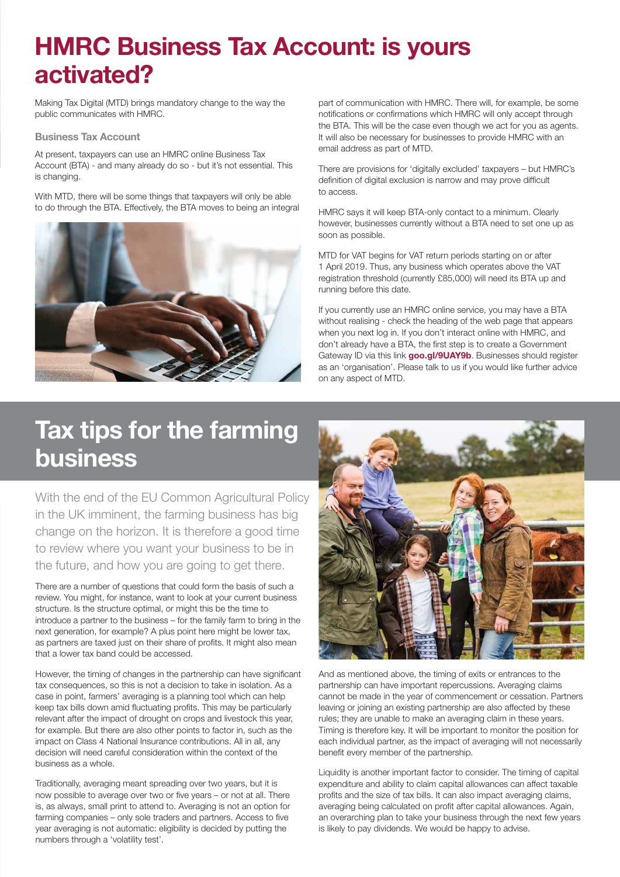### **HMRC Business Tax Account: is yours activated?**

Making Tax Digital (MTD) brings mandatory change to the way the public communicates with HMRC.

#### **Business Tax Account**

At present, taxpayers can use an HMRC online Business Tax Account (BTA) - and many already do so - but it's not essential. This is changing.

With MTD, there will be some things that taxpayers will only be able to do through the BTA. Effectively, the BTA moves to being an integral



part of communication with HMRC. There will, for example, be some notifications or confirmations which HMRC will only accept through the BTA. This will be the case even though we act for you as agents. It will also be necessary for businesses to provide HMRC with an email address as part of MTD.

There are provisions for 'digitally excluded' taxpayers – but HMRC's definition of digital exclusion is narrow and may prove difficult to access.

HMRC says it will keep BTA-only contact to a minimum. Clearly however, businesses currently without a BTA need to set one up as soon as possible.

MTD for VAT begins for VAT return periods starting on or after 1 April 2019. Thus, any business which operates above the VAT registration threshold (currently £85,000) will need its BTA up and running before this date.

If you currently use an HMRC online service, you may have a BTA without realising - check the heading of the web page that appears when you next log in. If you don't interact online with HMRC, and don't already have a BTA, the first step is to create a Government Gateway ID via this link **[goo.gl/9UAY9b](http://www.gateway.gov.uk/)**. Businesses should register as an 'organisation'. Please talk to us if you would like further advice on any aspect of MTD.

### **Tax tips for the farming business**

With the end of the EU Common Agricultural Policy in the UK imminent, the farming business has big change on the horizon. It is therefore a good time to review where you want your business to be in the future, and how you are going to get there.

There are a number of questions that could form the basis of such a review. You might, for instance, want to look at your current business structure. Is the structure optimal, or might this be the time to introduce a partner to the business – for the family farm to bring in the next generation, for example? A plus point here might be lower tax, as partners are taxed just on their share of profits. It might also mean that a lower tax band could be accessed.

However, the timing of changes in the partnership can have significant tax consequences, so this is not a decision to take in isolation. As a case in point, farmers' averaging is a planning tool which can help keep tax bills down amid fluctuating profits. This may be particularly relevant after the impact of drought on crops and livestock this year, for example. But there are also other points to factor in, such as the impact on Class 4 National Insurance contributions. All in all, any decision will need careful consideration within the context of the business as a whole.

Traditionally, averaging meant spreading over two years, but it is now possible to average over two or five years – or not at all. There is, as always, small print to attend to. Averaging is not an option for farming companies – only sole traders and partners. Access to five year averaging is not automatic: eligibility is decided by putting the numbers through a 'volatility test'.



And as mentioned above, the timing of exits or entrances to the partnership can have important repercussions. Averaging claims cannot be made in the year of commencement or cessation. Partners leaving or joining an existing partnership are also affected by these rules; they are unable to make an averaging claim in these years. Timing is therefore key. It will be important to monitor the position for each individual partner, as the impact of averaging will not necessarily benefit every member of the partnership.

Liquidity is another important factor to consider. The timing of capital expenditure and ability to claim capital allowances can affect taxable profits and the size of tax bills. It can also impact averaging claims, averaging being calculated on profit after capital allowances. Again, an overarching plan to take your business through the next few years is likely to pay dividends. We would be happy to advise.